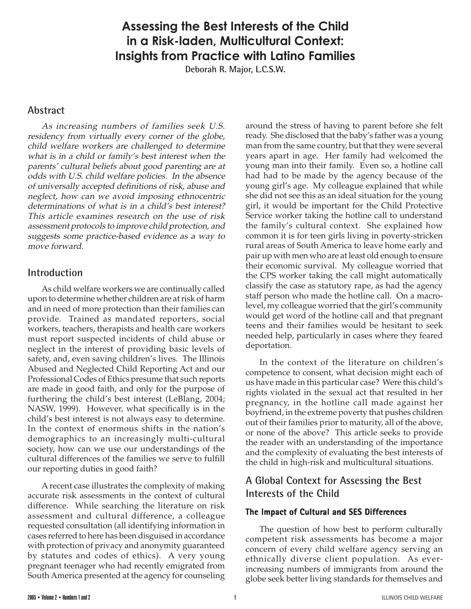# **Assessing the Best Interests of the Child in a Risk-laden, Multicultural Context: Insights from Practice with Latino Families**

**Deborah R. Major, L.C.S.W.**

## **Abstract**

As increasing numbers of families seek U.S. residency from virtually every corner of the globe, child welfare workers are challenged to determine what is in a child or family's best interest when the parents' cultural beliefs about good parenting are at odds with U.S. child welfare policies. In the absence of universally accepted definitions of risk, abuse and neglect, how can we avoid imposing ethnocentric determinations of what is in a child's best interest? This article examines research on the use of risk assessment protocols to improve child protection, and suggests some practice-based evidence as a way to move forward.

### **Introduction**

As child welfare workers we are continually called upon to determine whether children are at risk of harm and in need of more protection than their families can provide. Trained as mandated reporters, social workers, teachers, therapists and health care workers must report suspected incidents of child abuse or neglect in the interest of providing basic levels of safety, and, even saving children's lives. The Illinois Abused and Neglected Child Reporting Act and our Professional Codes of Ethics presume that such reports are made in good faith, and only for the purpose of furthering the child's best interest (LeBlang, 2004; NASW, 1999). However, what specifically is in the child's best interest is not always easy to determine. In the context of enormous shifts in the nation's demographics to an increasingly multi-cultural society, how can we use our understandings of the cultural differences of the families we serve to fulfill our reporting duties in good faith?

A recent case illustrates the complexity of making accurate risk assessments in the context of cultural difference. While searching the literature on risk assessment and cultural difference, a colleague requested consultation (all identifying information in cases referred to here has been disguised in accordance with protection of privacy and anonymity guaranteed by statutes and codes of ethics). A very young pregnant teenager who had recently emigrated from South America presented at the agency for counseling

around the stress of having to parent before she felt ready. She disclosed that the baby's father was a young man from the same country, but that they were several years apart in age. Her family had welcomed the young man into their family. Even so, a hotline call had had to be made by the agency because of the young girl's age. My colleague explained that while she did not see this as an ideal situation for the young girl, it would be important for the Child Protective Service worker taking the hotline call to understand the family's cultural context. She explained how common it is for teen girls living in poverty-stricken rural areas of South America to leave home early and pair up with men who are at least old enough to ensure their economic survival. My colleague worried that the CPS worker taking the call might automatically classify the case as statutory rape, as had the agency staff person who made the hotline call. On a macrolevel, my colleague worried that the girl's community would get word of the hotline call and that pregnant teens and their families would be hesitant to seek needed help, particularly in cases where they feared deportation.

In the context of the literature on children's competence to consent, what decision might each of us have made in this particular case? Were this child's rights violated in the sexual act that resulted in her pregnancy, in the hotline call made against her boyfriend, in the extreme poverty that pushes children out of their families prior to maturity, all of the above, or none of the above? This article seeks to provide the reader with an understanding of the importance and the complexity of evaluating the best interests of the child in high-risk and multicultural situations.

## **A Global Context for Assessing the Best Interests of the Child**

#### **The Impact of Cultural and SES Differences**

The question of how best to perform culturally competent risk assessments has become a major concern of every child welfare agency serving an ethnically diverse client population. As everincreasing numbers of immigrants from around the globe seek better living standards for themselves and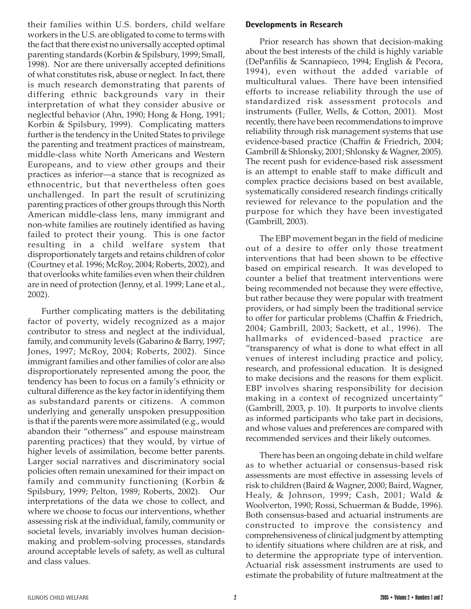their families within U.S. borders, child welfare workers in the U.S. are obligated to come to terms with the fact that there exist no universally accepted optimal parenting standards (Korbin & Spilsbury, 1999; Small, 1998). Nor are there universally accepted definitions of what constitutes risk, abuse or neglect. In fact, there is much research demonstrating that parents of differing ethnic backgrounds vary in their interpretation of what they consider abusive or neglectful behavior (Ahn, 1990; Hong & Hong, 1991; Korbin & Spilsbury, 1999). Complicating matters further is the tendency in the United States to privilege the parenting and treatment practices of mainstream, middle-class white North Americans and Western Europeans, and to view other groups and their practices as inferior—a stance that is recognized as ethnocentric, but that nevertheless often goes unchallenged. In part the result of scrutinizing parenting practices of other groups through this North American middle-class lens, many immigrant and non-white families are routinely identified as having failed to protect their young. This is one factor resulting in a child welfare system that disproportionately targets and retains children of color (Courtney et al. 1996; McRoy, 2004; Roberts, 2002), and that overlooks white families even when their children are in need of protection (Jenny, et al. 1999; Lane et al., 2002).

Further complicating matters is the debilitating factor of poverty, widely recognized as a major contributor to stress and neglect at the individual, family, and community levels (Gabarino & Barry, 1997; Jones, 1997; McRoy, 2004; Roberts, 2002). Since immigrant families and other families of color are also disproportionately represented among the poor, the tendency has been to focus on a family's ethnicity or cultural difference as the key factor in identifying them as substandard parents or citizens. A common underlying and generally unspoken presupposition is that if the parents were more assimilated (e.g., would abandon their "otherness" and espouse mainstream parenting practices) that they would, by virtue of higher levels of assimilation, become better parents. Larger social narratives and discriminatory social policies often remain unexamined for their impact on family and community functioning (Korbin & Spilsbury, 1999; Pelton, 1989; Roberts, 2002). Our interpretations of the data we chose to collect, and where we choose to focus our interventions, whether assessing risk at the individual, family, community or societal levels, invariably involves human decisionmaking and problem-solving processes, standards around acceptable levels of safety, as well as cultural and class values.

### **Developments in Research**

Prior research has shown that decision-making about the best interests of the child is highly variable (DePanfilis & Scannapieco, 1994; English & Pecora, 1994), even without the added variable of multicultural values. There have been intensified efforts to increase reliability through the use of standardized risk assessment protocols and instruments (Fuller, Wells, & Cotton, 2001). Most recently, there have been recommendations to improve reliability through risk management systems that use evidence-based practice (Chaffin & Friedrich, 2004; Gambrill & Shlonsky, 2001; Shlonsky & Wagner, 2005). The recent push for evidence-based risk assessment is an attempt to enable staff to make difficult and complex practice decisions based on best available, systematically considered research findings critically reviewed for relevance to the population and the purpose for which they have been investigated (Gambrill, 2003).

The EBP movement began in the field of medicine out of a desire to offer only those treatment interventions that had been shown to be effective based on empirical research. It was developed to counter a belief that treatment interventions were being recommended not because they were effective, but rather because they were popular with treatment providers, or had simply been the traditional service to offer for particular problems (Chaffin & Friedrich, 2004; Gambrill, 2003; Sackett, et al., 1996). The hallmarks of evidenced-based practice are "transparency of what is done to what effect in all venues of interest including practice and policy, research, and professional education. It is designed to make decisions and the reasons for them explicit. EBP involves sharing responsibility for decision making in a context of recognized uncertainty" (Gambrill, 2003, p. 10). It purports to involve clients as informed participants who take part in decisions, and whose values and preferences are compared with recommended services and their likely outcomes.

There has been an ongoing debate in child welfare as to whether actuarial or consensus-based risk assessments are most effective in assessing levels of risk to children (Baird & Wagner, 2000; Baird, Wagner, Healy, & Johnson, 1999; Cash, 2001; Wald & Woolverton, 1990; Rossi, Schuerman & Budde, 1996). Both consensus-based and actuarial instruments are constructed to improve the consistency and comprehensiveness of clinical judgment by attempting to identify situations where children are at risk, and to determine the appropriate type of intervention. Actuarial risk assessment instruments are used to estimate the probability of future maltreatment at the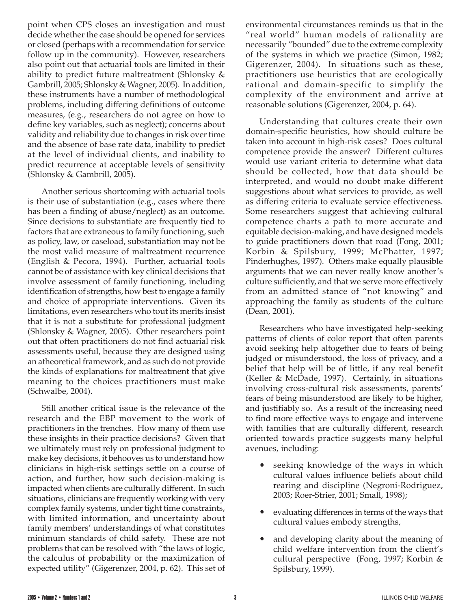point when CPS closes an investigation and must decide whether the case should be opened for services or closed (perhaps with a recommendation for service follow up in the community). However, researchers also point out that actuarial tools are limited in their ability to predict future maltreatment (Shlonsky & Gambrill, 2005; Shlonsky & Wagner, 2005). In addition, these instruments have a number of methodological problems, including differing definitions of outcome measures, (e.g., researchers do not agree on how to define key variables, such as neglect); concerns about validity and reliability due to changes in risk over time and the absence of base rate data, inability to predict at the level of individual clients, and inability to predict recurrence at acceptable levels of sensitivity (Shlonsky & Gambrill, 2005).

Another serious shortcoming with actuarial tools is their use of substantiation (e.g., cases where there has been a finding of abuse/neglect) as an outcome. Since decisions to substantiate are frequently tied to factors that are extraneous to family functioning, such as policy, law, or caseload, substantiation may not be the most valid measure of maltreatment recurrence (English & Pecora, 1994). Further, actuarial tools cannot be of assistance with key clinical decisions that involve assessment of family functioning, including identification of strengths, how best to engage a family and choice of appropriate interventions. Given its limitations, even researchers who tout its merits insist that it is not a substitute for professional judgment (Shlonsky & Wagner, 2005). Other researchers point out that often practitioners do not find actuarial risk assessments useful, because they are designed using an atheoretical framework, and as such do not provide the kinds of explanations for maltreatment that give meaning to the choices practitioners must make (Schwalbe, 2004).

Still another critical issue is the relevance of the research and the EBP movement to the work of practitioners in the trenches. How many of them use these insights in their practice decisions? Given that we ultimately must rely on professional judgment to make key decisions, it behooves us to understand how clinicians in high-risk settings settle on a course of action, and further, how such decision-making is impacted when clients are culturally different. In such situations, clinicians are frequently working with very complex family systems, under tight time constraints, with limited information, and uncertainty about family members' understandings of what constitutes minimum standards of child safety. These are not problems that can be resolved with "the laws of logic, the calculus of probability or the maximization of expected utility" (Gigerenzer, 2004, p. 62). This set of environmental circumstances reminds us that in the "real world" human models of rationality are necessarily "bounded" due to the extreme complexity of the systems in which we practice (Simon, 1982; Gigerenzer, 2004). In situations such as these, practitioners use heuristics that are ecologically rational and domain-specific to simplify the complexity of the environment and arrive at reasonable solutions (Gigerenzer, 2004, p. 64).

Understanding that cultures create their own domain-specific heuristics, how should culture be taken into account in high-risk cases? Does cultural competence provide the answer? Different cultures would use variant criteria to determine what data should be collected, how that data should be interpreted, and would no doubt make different suggestions about what services to provide, as well as differing criteria to evaluate service effectiveness. Some researchers suggest that achieving cultural competence charts a path to more accurate and equitable decision-making, and have designed models to guide practitioners down that road (Fong, 2001; Korbin & Spilsbury, 1999; McPhatter, 1997; Pinderhughes, 1997). Others make equally plausible arguments that we can never really know another's culture sufficiently, and that we serve more effectively from an admitted stance of "not knowing" and approaching the family as students of the culture (Dean, 2001).

Researchers who have investigated help-seeking patterns of clients of color report that often parents avoid seeking help altogether due to fears of being judged or misunderstood, the loss of privacy, and a belief that help will be of little, if any real benefit (Keller & McDade, 1997). Certainly, in situations involving cross-cultural risk assessments, parents' fears of being misunderstood are likely to be higher, and justifiably so. As a result of the increasing need to find more effective ways to engage and intervene with families that are culturally different, research oriented towards practice suggests many helpful avenues, including:

- seeking knowledge of the ways in which cultural values influence beliefs about child rearing and discipline (Negroni-Rodriguez, 2003; Roer-Strier, 2001; Small, 1998);
- evaluating differences in terms of the ways that cultural values embody strengths,
- and developing clarity about the meaning of child welfare intervention from the client's cultural perspective (Fong, 1997; Korbin & Spilsbury, 1999).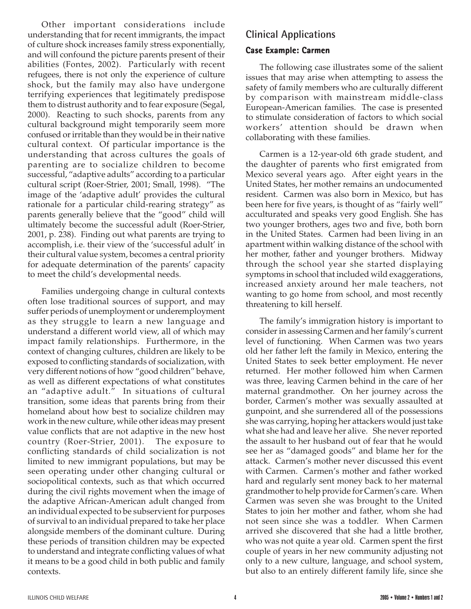Other important considerations include understanding that for recent immigrants, the impact of culture shock increases family stress exponentially, and will confound the picture parents present of their abilities (Fontes, 2002). Particularly with recent refugees, there is not only the experience of culture shock, but the family may also have undergone terrifying experiences that legitimately predispose them to distrust authority and to fear exposure (Segal, 2000). Reacting to such shocks, parents from any cultural background might temporarily seem more confused or irritable than they would be in their native cultural context. Of particular importance is the understanding that across cultures the goals of parenting are to socialize children to become successful, "adaptive adults" according to a particular cultural script (Roer-Strier, 2001; Small, 1998). "The image of the 'adaptive adult' provides the cultural rationale for a particular child-rearing strategy" as parents generally believe that the "good" child will ultimately become the successful adult (Roer-Strier, 2001, p. 238). Finding out what parents are trying to accomplish, i.e. their view of the 'successful adult' in their cultural value system, becomes a central priority for adequate determination of the parents' capacity to meet the child's developmental needs.

Families undergoing change in cultural contexts often lose traditional sources of support, and may suffer periods of unemployment or underemployment as they struggle to learn a new language and understand a different world view, all of which may impact family relationships. Furthermore, in the context of changing cultures, children are likely to be exposed to conflicting standards of socialization, with very different notions of how "good children" behave, as well as different expectations of what constitutes an "adaptive adult." In situations of cultural transition, some ideas that parents bring from their homeland about how best to socialize children may work in the new culture, while other ideas may present value conflicts that are not adaptive in the new host country (Roer-Strier, 2001). The exposure to conflicting standards of child socialization is not limited to new immigrant populations, but may be seen operating under other changing cultural or sociopolitical contexts, such as that which occurred during the civil rights movement when the image of the adaptive African-American adult changed from an individual expected to be subservient for purposes of survival to an individual prepared to take her place alongside members of the dominant culture. During these periods of transition children may be expected to understand and integrate conflicting values of what it means to be a good child in both public and family contexts.

## **Clinical Applications**

### **Case Example: Carmen**

The following case illustrates some of the salient issues that may arise when attempting to assess the safety of family members who are culturally different by comparison with mainstream middle-class European-American families. The case is presented to stimulate consideration of factors to which social workers' attention should be drawn when collaborating with these families.

Carmen is a 12-year-old 6th grade student, and the daughter of parents who first emigrated from Mexico several years ago. After eight years in the United States, her mother remains an undocumented resident. Carmen was also born in Mexico, but has been here for five years, is thought of as "fairly well" acculturated and speaks very good English. She has two younger brothers, ages two and five, both born in the United States. Carmen had been living in an apartment within walking distance of the school with her mother, father and younger brothers. Midway through the school year she started displaying symptoms in school that included wild exaggerations, increased anxiety around her male teachers, not wanting to go home from school, and most recently threatening to kill herself.

The family's immigration history is important to consider in assessing Carmen and her family's current level of functioning. When Carmen was two years old her father left the family in Mexico, entering the United States to seek better employment. He never returned. Her mother followed him when Carmen was three, leaving Carmen behind in the care of her maternal grandmother. On her journey across the border, Carmen's mother was sexually assaulted at gunpoint, and she surrendered all of the possessions she was carrying, hoping her attackers would just take what she had and leave her alive. She never reported the assault to her husband out of fear that he would see her as "damaged goods" and blame her for the attack. Carmen's mother never discussed this event with Carmen. Carmen's mother and father worked hard and regularly sent money back to her maternal grandmother to help provide for Carmen's care. When Carmen was seven she was brought to the United States to join her mother and father, whom she had not seen since she was a toddler. When Carmen arrived she discovered that she had a little brother, who was not quite a year old. Carmen spent the first couple of years in her new community adjusting not only to a new culture, language, and school system, but also to an entirely different family life, since she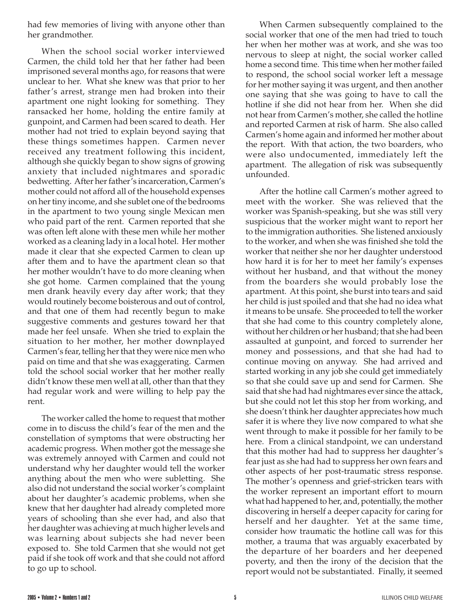had few memories of living with anyone other than her grandmother.

When the school social worker interviewed Carmen, the child told her that her father had been imprisoned several months ago, for reasons that were unclear to her. What she knew was that prior to her father's arrest, strange men had broken into their apartment one night looking for something. They ransacked her home, holding the entire family at gunpoint, and Carmen had been scared to death. Her mother had not tried to explain beyond saying that these things sometimes happen. Carmen never received any treatment following this incident, although she quickly began to show signs of growing anxiety that included nightmares and sporadic bedwetting. After her father's incarceration, Carmen's mother could not afford all of the household expenses on her tiny income, and she sublet one of the bedrooms in the apartment to two young single Mexican men who paid part of the rent. Carmen reported that she was often left alone with these men while her mother worked as a cleaning lady in a local hotel. Her mother made it clear that she expected Carmen to clean up after them and to have the apartment clean so that her mother wouldn't have to do more cleaning when she got home. Carmen complained that the young men drank heavily every day after work; that they would routinely become boisterous and out of control, and that one of them had recently begun to make suggestive comments and gestures toward her that made her feel unsafe. When she tried to explain the situation to her mother, her mother downplayed Carmen's fear, telling her that they were nice men who paid on time and that she was exaggerating. Carmen told the school social worker that her mother really didn't know these men well at all, other than that they had regular work and were willing to help pay the rent.

The worker called the home to request that mother come in to discuss the child's fear of the men and the constellation of symptoms that were obstructing her academic progress. When mother got the message she was extremely annoyed with Carmen and could not understand why her daughter would tell the worker anything about the men who were subletting. She also did not understand the social worker's complaint about her daughter's academic problems, when she knew that her daughter had already completed more years of schooling than she ever had, and also that her daughter was achieving at much higher levels and was learning about subjects she had never been exposed to. She told Carmen that she would not get paid if she took off work and that she could not afford to go up to school.

When Carmen subsequently complained to the social worker that one of the men had tried to touch her when her mother was at work, and she was too nervous to sleep at night, the social worker called home a second time. This time when her mother failed to respond, the school social worker left a message for her mother saying it was urgent, and then another one saying that she was going to have to call the hotline if she did not hear from her. When she did not hear from Carmen's mother, she called the hotline and reported Carmen at risk of harm. She also called Carmen's home again and informed her mother about the report. With that action, the two boarders, who were also undocumented, immediately left the apartment. The allegation of risk was subsequently unfounded.

After the hotline call Carmen's mother agreed to meet with the worker. She was relieved that the worker was Spanish-speaking, but she was still very suspicious that the worker might want to report her to the immigration authorities. She listened anxiously to the worker, and when she was finished she told the worker that neither she nor her daughter understood how hard it is for her to meet her family's expenses without her husband, and that without the money from the boarders she would probably lose the apartment. At this point, she burst into tears and said her child is just spoiled and that she had no idea what it means to be unsafe. She proceeded to tell the worker that she had come to this country completely alone, without her children or her husband; that she had been assaulted at gunpoint, and forced to surrender her money and possessions, and that she had had to continue moving on anyway. She had arrived and started working in any job she could get immediately so that she could save up and send for Carmen. She said that she had had nightmares ever since the attack, but she could not let this stop her from working, and she doesn't think her daughter appreciates how much safer it is where they live now compared to what she went through to make it possible for her family to be here. From a clinical standpoint, we can understand that this mother had had to suppress her daughter's fear just as she had had to suppress her own fears and other aspects of her post-traumatic stress response. The mother's openness and grief-stricken tears with the worker represent an important effort to mourn what had happened to her, and, potentially, the mother discovering in herself a deeper capacity for caring for herself and her daughter. Yet at the same time, consider how traumatic the hotline call was for this mother, a trauma that was arguably exacerbated by the departure of her boarders and her deepened poverty, and then the irony of the decision that the report would not be substantiated. Finally, it seemed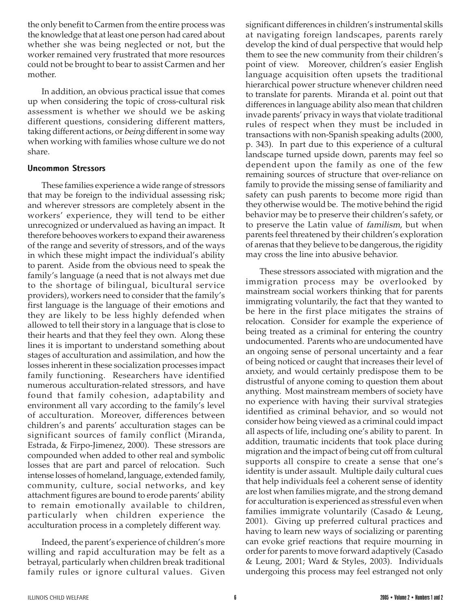the only benefit to Carmen from the entire process was the knowledge that at least one person had cared about whether she was being neglected or not, but the worker remained very frustrated that more resources could not be brought to bear to assist Carmen and her mother.

In addition, an obvious practical issue that comes up when considering the topic of cross-cultural risk assessment is whether we should we be asking different questions, considering different matters, taking different actions, or being different in some way when working with families whose culture we do not share.

#### **Uncommon Stressors**

These families experience a wide range of stressors that may be foreign to the individual assessing risk; and wherever stressors are completely absent in the workers' experience, they will tend to be either unrecognized or undervalued as having an impact. It therefore behooves workers to expand their awareness of the range and severity of stressors, and of the ways in which these might impact the individual's ability to parent. Aside from the obvious need to speak the family's language (a need that is not always met due to the shortage of bilingual, bicultural service providers), workers need to consider that the family's first language is the language of their emotions and they are likely to be less highly defended when allowed to tell their story in a language that is close to their hearts and that they feel they own. Along these lines it is important to understand something about stages of acculturation and assimilation, and how the losses inherent in these socialization processes impact family functioning. Researchers have identified numerous acculturation-related stressors, and have found that family cohesion, adaptability and environment all vary according to the family's level of acculturation. Moreover, differences between children's and parents' acculturation stages can be significant sources of family conflict (Miranda, Estrada, & Firpo-Jimenez, 2000). These stressors are compounded when added to other real and symbolic losses that are part and parcel of relocation. Such intense losses of homeland, language, extended family, community, culture, social networks, and key attachment figures are bound to erode parents' ability to remain emotionally available to children, particularly when children experience the acculturation process in a completely different way.

Indeed, the parent's experience of children's more willing and rapid acculturation may be felt as a betrayal, particularly when children break traditional family rules or ignore cultural values. Given

significant differences in children's instrumental skills at navigating foreign landscapes, parents rarely develop the kind of dual perspective that would help them to see the new community from their children's point of view. Moreover, children's easier English language acquisition often upsets the traditional hierarchical power structure whenever children need to translate for parents. Miranda et al. point out that differences in language ability also mean that children invade parents' privacy in ways that violate traditional rules of respect when they must be included in transactions with non-Spanish speaking adults (2000, p. 343). In part due to this experience of a cultural landscape turned upside down, parents may feel so dependent upon the family as one of the few remaining sources of structure that over-reliance on family to provide the missing sense of familiarity and safety can push parents to become more rigid than they otherwise would be. The motive behind the rigid behavior may be to preserve their children's safety, or to preserve the Latin value of familism, but when parents feel threatened by their children's exploration of arenas that they believe to be dangerous, the rigidity may cross the line into abusive behavior.

These stressors associated with migration and the immigration process may be overlooked by mainstream social workers thinking that for parents immigrating voluntarily, the fact that they wanted to be here in the first place mitigates the strains of relocation. Consider for example the experience of being treated as a criminal for entering the country undocumented. Parents who are undocumented have an ongoing sense of personal uncertainty and a fear of being noticed or caught that increases their level of anxiety, and would certainly predispose them to be distrustful of anyone coming to question them about anything. Most mainstream members of society have no experience with having their survival strategies identified as criminal behavior, and so would not consider how being viewed as a criminal could impact all aspects of life, including one's ability to parent. In addition, traumatic incidents that took place during migration and the impact of being cut off from cultural supports all conspire to create a sense that one's identity is under assault. Multiple daily cultural cues that help individuals feel a coherent sense of identity are lost when families migrate, and the strong demand for acculturation is experienced as stressful even when families immigrate voluntarily (Casado & Leung, 2001). Giving up preferred cultural practices and having to learn new ways of socializing or parenting can evoke grief reactions that require mourning in order for parents to move forward adaptively (Casado & Leung, 2001; Ward & Styles, 2003). Individuals undergoing this process may feel estranged not only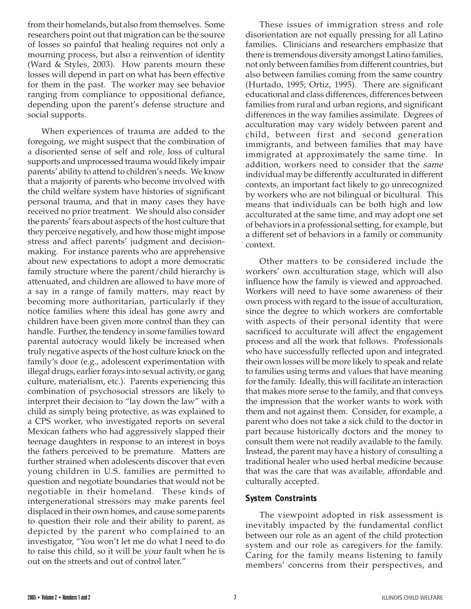from their homelands, but also from themselves. Some researchers point out that migration can be the source of losses so painful that healing requires not only a mourning process, but also a reinvention of identity (Ward & Styles, 2003). How parents mourn these losses will depend in part on what has been effective for them in the past. The worker may see behavior ranging from compliance to oppositional defiance, depending upon the parent's defense structure and social supports.

When experiences of trauma are added to the foregoing, we might suspect that the combination of a disoriented sense of self and role, loss of cultural supports and unprocessed trauma would likely impair parents' ability to attend to children's needs. We know that a majority of parents who become involved with the child welfare system have histories of significant personal trauma, and that in many cases they have received no prior treatment. We should also consider the parents' fears about aspects of the host culture that they perceive negatively, and how those might impose stress and affect parents' judgment and decisionmaking. For instance parents who are apprehensive about new expectations to adopt a more democratic family structure where the parent/child hierarchy is attenuated, and children are allowed to have more of a say in a range of family matters, may react by becoming more authoritarian, particularly if they notice families where this ideal has gone awry and children have been given more control than they can handle. Further, the tendency in some families toward parental autocracy would likely be increased when truly negative aspects of the host culture knock on the family's door (e.g., adolescent experimentation with illegal drugs, earlier forays into sexual activity, or gang culture, materialism, etc.). Parents experiencing this combination of psychosocial stressors are likely to interpret their decision to "lay down the law" with a child as simply being protective, as was explained to a CPS worker, who investigated reports on several Mexican fathers who had aggressively slapped their teenage daughters in response to an interest in boys the fathers perceived to be premature. Matters are further strained when adolescents discover that even young children in U.S. families are permitted to question and negotiate boundaries that would not be negotiable in their homeland. These kinds of intergenerational stressors may make parents feel displaced in their own homes, and cause some parents to question their role and their ability to parent, as depicted by the parent who complained to an investigator, "You won't let me do what I need to do to raise this child, so it will be your fault when he is out on the streets and out of control later."

These issues of immigration stress and role disorientation are not equally pressing for all Latino families. Clinicians and researchers emphasize that there is tremendous diversity amongst Latino families, not only between families from different countries, but also between families coming from the same country (Hurtado, 1995; Ortiz, 1995). There are significant educational and class differences, differences between families from rural and urban regions, and significant differences in the way families assimilate. Degrees of acculturation may vary widely between parent and child, between first and second generation immigrants, and between families that may have immigrated at approximately the same time. In addition, workers need to consider that the same individual may be differently acculturated in different contexts, an important fact likely to go unrecognized by workers who are not bilingual or bicultural. This means that individuals can be both high and low acculturated at the same time, and may adopt one set of behaviors in a professional setting, for example, but a different set of behaviors in a family or community context.

Other matters to be considered include the workers' own acculturation stage, which will also influence how the family is viewed and approached. Workers will need to have some awareness of their own process with regard to the issue of acculturation, since the degree to which workers are comfortable with aspects of their personal identity that were sacrificed to acculturate will affect the engagement process and all the work that follows. Professionals who have successfully reflected upon and integrated their own losses will be more likely to speak and relate to families using terms and values that have meaning for the family. Ideally, this will facilitate an interaction that makes more sense to the family, and that conveys the impression that the worker wants to work with them and not against them. Consider, for example, a parent who does not take a sick child to the doctor in part because historically doctors and the money to consult them were not readily available to the family. Instead, the parent may have a history of consulting a traditional healer who used herbal medicine because that was the care that was available, affordable and culturally accepted.

### **System Constraints**

The viewpoint adopted in risk assessment is inevitably impacted by the fundamental conflict between our role as an agent of the child protection system and our role as caregivers for the family. Caring for the family means listening to family members' concerns from their perspectives, and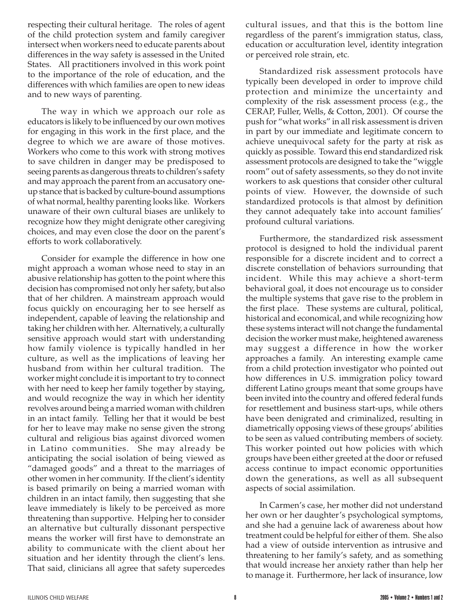respecting their cultural heritage. The roles of agent of the child protection system and family caregiver intersect when workers need to educate parents about differences in the way safety is assessed in the United States. All practitioners involved in this work point to the importance of the role of education, and the differences with which families are open to new ideas and to new ways of parenting.

The way in which we approach our role as educators is likely to be influenced by our own motives for engaging in this work in the first place, and the degree to which we are aware of those motives. Workers who come to this work with strong motives to save children in danger may be predisposed to seeing parents as dangerous threats to children's safety and may approach the parent from an accusatory oneup stance that is backed by culture-bound assumptions of what normal, healthy parenting looks like. Workers unaware of their own cultural biases are unlikely to recognize how they might denigrate other caregiving choices, and may even close the door on the parent's efforts to work collaboratively.

Consider for example the difference in how one might approach a woman whose need to stay in an abusive relationship has gotten to the point where this decision has compromised not only her safety, but also that of her children. A mainstream approach would focus quickly on encouraging her to see herself as independent, capable of leaving the relationship and taking her children with her. Alternatively, a culturally sensitive approach would start with understanding how family violence is typically handled in her culture, as well as the implications of leaving her husband from within her cultural tradition. The worker might conclude it is important to try to connect with her need to keep her family together by staying, and would recognize the way in which her identity revolves around being a married woman with children in an intact family. Telling her that it would be best for her to leave may make no sense given the strong cultural and religious bias against divorced women in Latino communities. She may already be anticipating the social isolation of being viewed as "damaged goods" and a threat to the marriages of other women in her community. If the client's identity is based primarily on being a married woman with children in an intact family, then suggesting that she leave immediately is likely to be perceived as more threatening than supportive. Helping her to consider an alternative but culturally dissonant perspective means the worker will first have to demonstrate an ability to communicate with the client about her situation and her identity through the client's lens. That said, clinicians all agree that safety supercedes

cultural issues, and that this is the bottom line regardless of the parent's immigration status, class, education or acculturation level, identity integration or perceived role strain, etc.

Standardized risk assessment protocols have typically been developed in order to improve child protection and minimize the uncertainty and complexity of the risk assessment process (e.g., the CERAP, Fuller, Wells, & Cotton, 2001). Of course the push for "what works" in all risk assessment is driven in part by our immediate and legitimate concern to achieve unequivocal safety for the party at risk as quickly as possible. Toward this end standardized risk assessment protocols are designed to take the "wiggle room" out of safety assessments, so they do not invite workers to ask questions that consider other cultural points of view. However, the downside of such standardized protocols is that almost by definition they cannot adequately take into account families' profound cultural variations.

Furthermore, the standardized risk assessment protocol is designed to hold the individual parent responsible for a discrete incident and to correct a discrete constellation of behaviors surrounding that incident. While this may achieve a short-term behavioral goal, it does not encourage us to consider the multiple systems that gave rise to the problem in the first place. These systems are cultural, political, historical and economical, and while recognizing how these systems interact will not change the fundamental decision the worker must make, heightened awareness may suggest a difference in how the worker approaches a family. An interesting example came from a child protection investigator who pointed out how differences in U.S. immigration policy toward different Latino groups meant that some groups have been invited into the country and offered federal funds for resettlement and business start-ups, while others have been denigrated and criminalized, resulting in diametrically opposing views of these groups' abilities to be seen as valued contributing members of society. This worker pointed out how policies with which groups have been either greeted at the door or refused access continue to impact economic opportunities down the generations, as well as all subsequent aspects of social assimilation.

In Carmen's case, her mother did not understand her own or her daughter's psychological symptoms, and she had a genuine lack of awareness about how treatment could be helpful for either of them. She also had a view of outside intervention as intrusive and threatening to her family's safety, and as something that would increase her anxiety rather than help her to manage it. Furthermore, her lack of insurance, low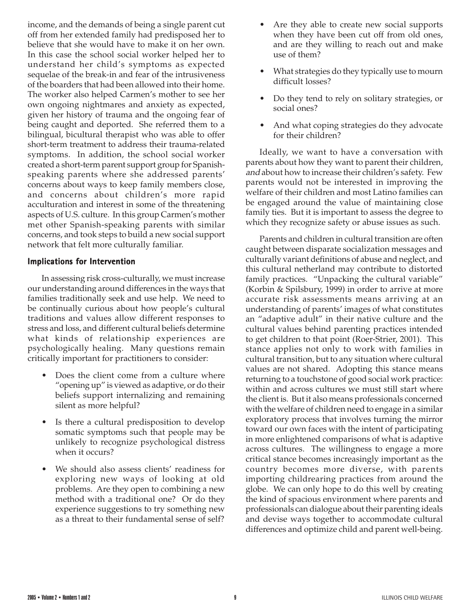income, and the demands of being a single parent cut off from her extended family had predisposed her to believe that she would have to make it on her own. In this case the school social worker helped her to understand her child's symptoms as expected sequelae of the break-in and fear of the intrusiveness of the boarders that had been allowed into their home. The worker also helped Carmen's mother to see her own ongoing nightmares and anxiety as expected, given her history of trauma and the ongoing fear of being caught and deported. She referred them to a bilingual, bicultural therapist who was able to offer short-term treatment to address their trauma-related symptoms. In addition, the school social worker created a short-term parent support group for Spanishspeaking parents where she addressed parents' concerns about ways to keep family members close, and concerns about children's more rapid acculturation and interest in some of the threatening aspects of U.S. culture. In this group Carmen's mother met other Spanish-speaking parents with similar concerns, and took steps to build a new social support network that felt more culturally familiar.

#### **Implications for Intervention**

In assessing risk cross-culturally, we must increase our understanding around differences in the ways that families traditionally seek and use help. We need to be continually curious about how people's cultural traditions and values allow different responses to stress and loss, and different cultural beliefs determine what kinds of relationship experiences are psychologically healing. Many questions remain critically important for practitioners to consider:

- Does the client come from a culture where "opening up" is viewed as adaptive, or do their beliefs support internalizing and remaining silent as more helpful?
- Is there a cultural predisposition to develop somatic symptoms such that people may be unlikely to recognize psychological distress when it occurs?
- We should also assess clients' readiness for exploring new ways of looking at old problems. Are they open to combining a new method with a traditional one? Or do they experience suggestions to try something new as a threat to their fundamental sense of self?
- Are they able to create new social supports when they have been cut off from old ones, and are they willing to reach out and make use of them?
- What strategies do they typically use to mourn difficult losses?
- Do they tend to rely on solitary strategies, or social ones?
- And what coping strategies do they advocate for their children?

Ideally, we want to have a conversation with parents about how they want to parent their children, and about how to increase their children's safety. Few parents would not be interested in improving the welfare of their children and most Latino families can be engaged around the value of maintaining close family ties. But it is important to assess the degree to which they recognize safety or abuse issues as such.

Parents and children in cultural transition are often caught between disparate socialization messages and culturally variant definitions of abuse and neglect, and this cultural netherland may contribute to distorted family practices. "Unpacking the cultural variable" (Korbin & Spilsbury, 1999) in order to arrive at more accurate risk assessments means arriving at an understanding of parents' images of what constitutes an "adaptive adult" in their native culture and the cultural values behind parenting practices intended to get children to that point (Roer-Strier, 2001). This stance applies not only to work with families in cultural transition, but to any situation where cultural values are not shared. Adopting this stance means returning to a touchstone of good social work practice: within and across cultures we must still start where the client is. But it also means professionals concerned with the welfare of children need to engage in a similar exploratory process that involves turning the mirror toward our own faces with the intent of participating in more enlightened comparisons of what is adaptive across cultures. The willingness to engage a more critical stance becomes increasingly important as the country becomes more diverse, with parents importing childrearing practices from around the globe. We can only hope to do this well by creating the kind of spacious environment where parents and professionals can dialogue about their parenting ideals and devise ways together to accommodate cultural differences and optimize child and parent well-being.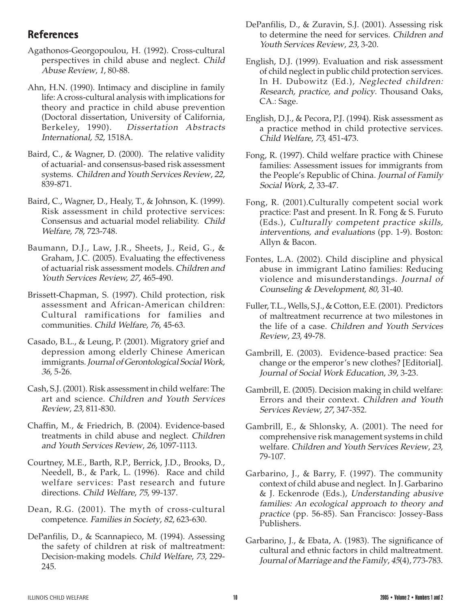## **References**

- Agathonos-Georgopoulou, H. (1992). Cross-cultural perspectives in child abuse and neglect. Child Abuse Review, 1, 80-88.
- Ahn, H.N. (1990). Intimacy and discipline in family life: A cross-cultural analysis with implications for theory and practice in child abuse prevention (Doctoral dissertation, University of California, Berkeley, 1990). Dissertation Abstracts International, 52, 1518A.
- Baird, C., & Wagner, D. (2000). The relative validity of actuarial- and consensus-based risk assessment systems. Children and Youth Services Review, 22, 839-871.
- Baird, C., Wagner, D., Healy, T., & Johnson, K. (1999). Risk assessment in child protective services: Consensus and actuarial model reliability. Child Welfare, 78, 723-748.
- Baumann, D.J., Law, J.R., Sheets, J., Reid, G., & Graham, J.C. (2005). Evaluating the effectiveness of actuarial risk assessment models. Children and Youth Services Review, 27, 465-490.
- Brissett-Chapman, S. (1997). Child protection, risk assessment and African-American children: Cultural ramifications for families and communities. Child Welfare, 76, 45-63.
- Casado, B.L., & Leung, P. (2001). Migratory grief and depression among elderly Chinese American immigrants. Journal of Gerontological Social Work, 36, 5-26.
- Cash, S.J. (2001). Risk assessment in child welfare: The art and science. Children and Youth Services Review, 23, 811-830.
- Chaffin, M., & Friedrich, B. (2004). Evidence-based treatments in child abuse and neglect. Children and Youth Services Review, 26, 1097-1113.
- Courtney, M.E., Barth, R.P., Berrick, J.D., Brooks, D., Needell, B., & Park, L. (1996). Race and child welfare services: Past research and future directions. Child Welfare, 75, 99-137.
- Dean, R.G. (2001). The myth of cross-cultural competence. Families in Society, 82, 623-630.
- DePanfilis, D., & Scannapieco, M. (1994). Assessing the safety of children at risk of maltreatment: Decision-making models. Child Welfare, 73, 229- 245.
- DePanfilis, D., & Zuravin, S.J. (2001). Assessing risk to determine the need for services. Children and Youth Services Review, 23, 3-20.
- English, D.J. (1999). Evaluation and risk assessment of child neglect in public child protection services. In H. Dubowitz (Ed.), Neglected children: Research, practice, and policy. Thousand Oaks, CA.: Sage.
- English, D.J., & Pecora, P.J. (1994). Risk assessment as a practice method in child protective services. Child Welfare, 73, 451-473.
- Fong, R. (1997). Child welfare practice with Chinese families: Assessment issues for immigrants from the People's Republic of China. Journal of Family Social Work, 2, 33-47.
- Fong, R. (2001).Culturally competent social work practice: Past and present. In R. Fong & S. Furuto (Eds.), Culturally competent practice skills, interventions, and evaluations (pp. 1-9). Boston: Allyn & Bacon.
- Fontes, L.A. (2002). Child discipline and physical abuse in immigrant Latino families: Reducing violence and misunderstandings. Journal of Counseling & Development, 80, 31-40.
- Fuller, T.L., Wells, S.J., & Cotton, E.E. (2001). Predictors of maltreatment recurrence at two milestones in the life of a case. Children and Youth Services Review, 23, 49-78.
- Gambrill, E. (2003). Evidence-based practice: Sea change or the emperor's new clothes? [Editorial]. Journal of Social Work Education, 39, 3-23.
- Gambrill, E. (2005). Decision making in child welfare: Errors and their context. Children and Youth Services Review, 27, 347-352.
- Gambrill, E., & Shlonsky, A. (2001). The need for comprehensive risk management systems in child welfare. Children and Youth Services Review, 23, 79-107.
- Garbarino, J., & Barry, F. (1997). The community context of child abuse and neglect. In J. Garbarino & J. Eckenrode (Eds.), Understanding abusive families: An ecological approach to theory and practice (pp. 56-85). San Francisco: Jossey-Bass Publishers.
- Garbarino, J., & Ebata, A. (1983). The significance of cultural and ethnic factors in child maltreatment. Journal of Marriage and the Family, 45(4), 773-783.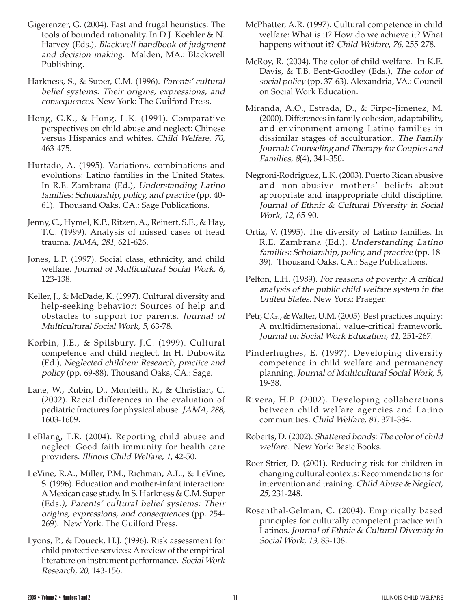- Gigerenzer, G. (2004). Fast and frugal heuristics: The tools of bounded rationality. In D.J. Koehler & N. Harvey (Eds.), Blackwell handbook of judgment and decision making. Malden, MA.: Blackwell Publishing.
- Harkness, S., & Super, C.M. (1996). Parents' cultural belief systems: Their origins, expressions, and consequences. New York: The Guilford Press.
- Hong, G.K., & Hong, L.K. (1991). Comparative perspectives on child abuse and neglect: Chinese versus Hispanics and whites. Child Welfare, 70, 463-475.
- Hurtado, A. (1995). Variations, combinations and evolutions: Latino families in the United States. In R.E. Zambrana (Ed.), Understanding Latino families: Scholarship, policy, and practice (pp. 40- 61). Thousand Oaks, CA.: Sage Publications.
- Jenny, C., Hymel, K.P., Ritzen, A., Reinert, S.E., & Hay, T.C. (1999). Analysis of missed cases of head trauma. JAMA, 281, 621-626.
- Jones, L.P. (1997). Social class, ethnicity, and child welfare. Journal of Multicultural Social Work, 6, 123-138.
- Keller, J., & McDade, K. (1997). Cultural diversity and help-seeking behavior: Sources of help and obstacles to support for parents. Journal of Multicultural Social Work, 5, 63-78.
- Korbin, J.E., & Spilsbury, J.C. (1999). Cultural competence and child neglect. In H. Dubowitz (Ed.), Neglected children: Research, practice and policy (pp. 69-88). Thousand Oaks, CA.: Sage.
- Lane, W., Rubin, D., Monteith, R., & Christian, C. (2002). Racial differences in the evaluation of pediatric fractures for physical abuse. JAMA, 288, 1603-1609.
- LeBlang, T.R. (2004). Reporting child abuse and neglect: Good faith immunity for health care providers. Illinois Child Welfare, 1, 42-50.
- LeVine, R.A., Miller, P.M., Richman, A.L., & LeVine, S. (1996). Education and mother-infant interaction: A Mexican case study. In S. Harkness & C.M. Super (Eds.), Parents' cultural belief systems: Their origins, expressions, and consequences (pp. 254- 269). New York: The Guilford Press.
- Lyons, P., & Doueck, H.J. (1996). Risk assessment for child protective services: A review of the empirical literature on instrument performance. Social Work Research, 20, 143-156.
- McPhatter, A.R. (1997). Cultural competence in child welfare: What is it? How do we achieve it? What happens without it? Child Welfare, 76, 255-278.
- McRoy, R. (2004). The color of child welfare. In K.E. Davis, & T.B. Bent-Goodley (Eds.), The color of social policy (pp. 37-63). Alexandria, VA.: Council on Social Work Education.
- Miranda, A.O., Estrada, D., & Firpo-Jimenez, M. (2000). Differences in family cohesion, adaptability, and environment among Latino families in dissimilar stages of acculturation. The Family Journal: Counseling and Therapy for Couples and Families, 8(4), 341-350.
- Negroni-Rodriguez, L.K. (2003). Puerto Rican abusive and non-abusive mothers' beliefs about appropriate and inappropriate child discipline. Journal of Ethnic & Cultural Diversity in Social Work, 12, 65-90.
- Ortiz, V. (1995). The diversity of Latino families. In R.E. Zambrana (Ed.), Understanding Latino families: Scholarship, policy, and practice (pp. 18- 39). Thousand Oaks, CA.: Sage Publications.
- Pelton, L.H. (1989). For reasons of poverty: A critical analysis of the public child welfare system in the United States. New York: Praeger.
- Petr, C.G., & Walter, U.M. (2005). Best practices inquiry: A multidimensional, value-critical framework. Journal on Social Work Education, 41, 251-267.
- Pinderhughes, E. (1997). Developing diversity competence in child welfare and permanency planning. Journal of Multicultural Social Work, 5, 19-38.
- Rivera, H.P. (2002). Developing collaborations between child welfare agencies and Latino communities. Child Welfare, 81, 371-384.
- Roberts, D. (2002). Shattered bonds: The color of child welfare. New York: Basic Books.
- Roer-Strier, D. (2001). Reducing risk for children in changing cultural contexts: Recommendations for intervention and training. Child Abuse & Neglect, 25, 231-248.
- Rosenthal-Gelman, C. (2004). Empirically based principles for culturally competent practice with Latinos. Journal of Ethnic & Cultural Diversity in Social Work, 13, 83-108.